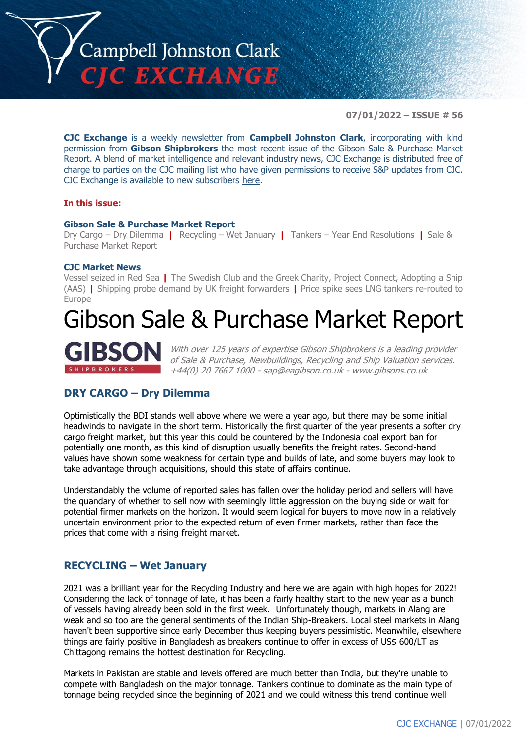

**07/01/2022 – ISSUE # 56**

**CJC Exchange** is a weekly newsletter from **Campbell Johnston Clark**, incorporating with kind permission from **Gibson Shipbrokers** the most recent issue of the Gibson Sale & Purchase Market Report. A blend of market intelligence and relevant industry news, CJC Exchange is distributed free of charge to parties on the CJC mailing list who have given permissions to receive S&P updates from CJC. CJC Exchange is available to new subscribers [here.](mailto:jamesc@cjclaw.com?subject=CJC%20Exchange%20sign-up)

### **In this issue:**

#### **Gibson Sale & Purchase Market Report**

Dry Cargo – Dry Dilemma **|** Recycling – Wet January **|** Tankers – Year End Resolutions **|** Sale & Purchase Market Report

#### **CJC Market News**

Vessel seized in Red Sea **|** The Swedish Club and the Greek Charity, Project Connect, Adopting a Ship (AAS) **|** Shipping probe demand by UK freight forwarders **|** Price spike sees LNG tankers re-routed to Europe

# Gibson Sale & Purchase Market Report



With over 125 years of expertise Gibson Shipbrokers is a leading provider of Sale & Purchase, Newbuildings, Recycling and Ship Valuation services. +44(0) 20 7667 1000 - [sap@eagibson.co.uk](mailto:sap@eagibson.co.uk) - [www.gibsons.co.uk](https://protect-eu.mimecast.com/s/VO6nCGZzRS60KqcK1jQh/)

## **DRY CARGO – Dry Dilemma**

Optimistically the BDI stands well above where we were a year ago, but there may be some initial headwinds to navigate in the short term. Historically the first quarter of the year presents a softer dry cargo freight market, but this year this could be countered by the Indonesia coal export ban for potentially one month, as this kind of disruption usually benefits the freight rates. Second-hand values have shown some weakness for certain type and builds of late, and some buyers may look to take advantage through acquisitions, should this state of affairs continue.

Understandably the volume of reported sales has fallen over the holiday period and sellers will have the quandary of whether to sell now with seemingly little aggression on the buying side or wait for potential firmer markets on the horizon. It would seem logical for buyers to move now in a relatively uncertain environment prior to the expected return of even firmer markets, rather than face the prices that come with a rising freight market.

## **RECYCLING – Wet January**

2021 was a brilliant year for the Recycling Industry and here we are again with high hopes for 2022! Considering the lack of tonnage of late, it has been a fairly healthy start to the new year as a bunch of vessels having already been sold in the first week. Unfortunately though, markets in Alang are weak and so too are the general sentiments of the Indian Ship-Breakers. Local steel markets in Alang haven't been supportive since early December thus keeping buyers pessimistic. Meanwhile, elsewhere things are fairly positive in Bangladesh as breakers continue to offer in excess of US\$ 600/LT as Chittagong remains the hottest destination for Recycling.

Markets in Pakistan are stable and levels offered are much better than India, but they're unable to compete with Bangladesh on the major tonnage. Tankers continue to dominate as the main type of tonnage being recycled since the beginning of 2021 and we could witness this trend continue well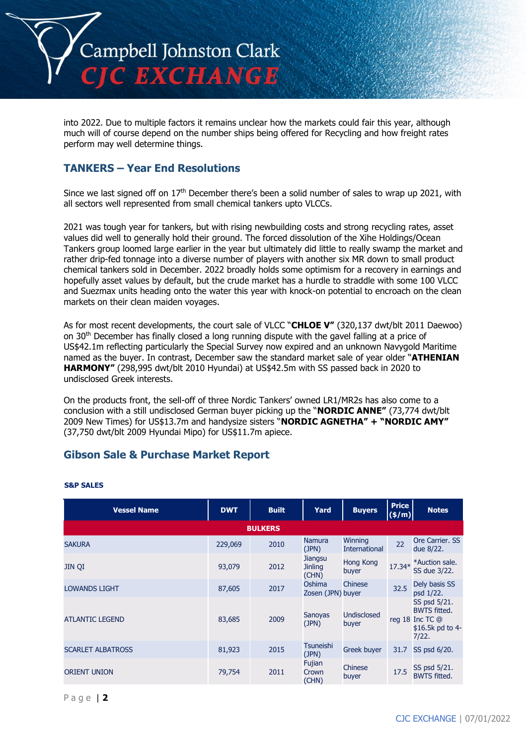

into 2022. Due to multiple factors it remains unclear how the markets could fair this year, although much will of course depend on the number ships being offered for Recycling and how freight rates perform may well determine things.

## **TANKERS – Year End Resolutions**

Since we last signed off on 17<sup>th</sup> December there's been a solid number of sales to wrap up 2021, with all sectors well represented from small chemical tankers upto VLCCs.

2021 was tough year for tankers, but with rising newbuilding costs and strong recycling rates, asset values did well to generally hold their ground. The forced dissolution of the Xihe Holdings/Ocean Tankers group loomed large earlier in the year but ultimately did little to really swamp the market and rather drip-fed tonnage into a diverse number of players with another six MR down to small product chemical tankers sold in December. 2022 broadly holds some optimism for a recovery in earnings and hopefully asset values by default, but the crude market has a hurdle to straddle with some 100 VLCC and Suezmax units heading onto the water this year with knock-on potential to encroach on the clean markets on their clean maiden voyages.

As for most recent developments, the court sale of VLCC "**CHLOE V"** (320,137 dwt/blt 2011 Daewoo) on 30th December has finally closed a long running dispute with the gavel falling at a price of US\$42.1m reflecting particularly the Special Survey now expired and an unknown Navygold Maritime named as the buyer. In contrast, December saw the standard market sale of year older "**ATHENIAN HARMONY"** (298,995 dwt/blt 2010 Hyundai) at US\$42.5m with SS passed back in 2020 to undisclosed Greek interests.

On the products front, the sell-off of three Nordic Tankers' owned LR1/MR2s has also come to a conclusion with a still undisclosed German buyer picking up the "**NORDIC ANNE"** (73,774 dwt/blt 2009 New Times) for US\$13.7m and handysize sisters "**NORDIC AGNETHA" + "NORDIC AMY"** (37,750 dwt/blt 2009 Hyundai Mipo) for US\$11.7m apiece.

## **Gibson Sale & Purchase Market Report**

| <b>Vessel Name</b>       | <b>DWT</b> | <b>Built</b>   | Yard                               | <b>Buyers</b>                   | <b>Price</b><br>$(\frac{\epsilon}{m})$ | <b>Notes</b>                                                                        |
|--------------------------|------------|----------------|------------------------------------|---------------------------------|----------------------------------------|-------------------------------------------------------------------------------------|
|                          |            | <b>BULKERS</b> |                                    |                                 |                                        |                                                                                     |
| <b>SAKURA</b>            | 229,069    | 2010           | <b>Namura</b><br>(JPN)             | Winning<br><b>International</b> | 22                                     | Ore Carrier. SS<br>due 8/22.                                                        |
| JIN QI                   | 93,079     | 2012           | Jiangsu<br><b>Jinling</b><br>(CHN) | <b>Hong Kong</b><br>buyer       | 17.34*                                 | *Auction sale.<br>SS due 3/22.                                                      |
| <b>LOWANDS LIGHT</b>     | 87,605     | 2017           | Oshima<br>Zosen (JPN) buyer        | Chinese                         | 32.5                                   | Dely basis SS<br>psd 1/22.                                                          |
| <b>ATLANTIC LEGEND</b>   | 83,685     | 2009           | Sanoyas<br>(JPN)                   | <b>Undisclosed</b><br>buyer     |                                        | SS psd 5/21.<br><b>BWTS fitted.</b><br>reg 18 Inc TC @<br>\$16.5k pd to 4-<br>7/22. |
| <b>SCARLET ALBATROSS</b> | 81,923     | 2015           | <b>Tsuneishi</b><br>(JPN)          | <b>Greek buyer</b>              | 31.7                                   | SS psd 6/20.                                                                        |
| <b>ORIENT UNION</b>      | 79,754     | 2011           | Fujian<br>Crown<br>(CHN)           | Chinese<br>buyer                | 17.5                                   | SS psd 5/21.<br><b>BWTS fitted.</b>                                                 |

#### **S&P SALES**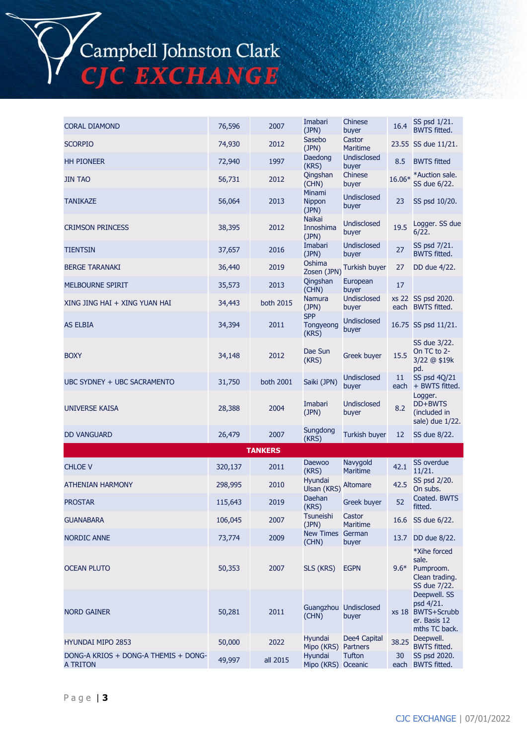Campbell Johnston Clark<br>CJC EXCHANGE

| <b>CORAL DIAMOND</b>                             | 76,596  | 2007           | Imabari<br>(JPN)                    | Chinese<br>buyer                | 16.4                    | SS psd 1/21.<br><b>BWTS fitted.</b>                                             |
|--------------------------------------------------|---------|----------------|-------------------------------------|---------------------------------|-------------------------|---------------------------------------------------------------------------------|
| <b>SCORPIO</b>                                   | 74,930  | 2012           | Sasebo<br>(JPN)                     | Castor<br><b>Maritime</b>       |                         | 23.55 SS due 11/21.                                                             |
| <b>HH PIONEER</b>                                | 72,940  | 1997           | Daedong<br>(KRS)                    | <b>Undisclosed</b><br>buyer     | 8.5                     | <b>BWTS fitted</b>                                                              |
| <b>JIN TAO</b>                                   | 56,731  | 2012           | Qingshan<br>(CHN)                   | Chinese<br>buyer                | 16.06*                  | *Auction sale.<br>SS due 6/22.                                                  |
| TANIKAZE                                         | 56,064  | 2013           | Minami<br>Nippon<br>(JPN)           | <b>Undisclosed</b><br>buyer     | 23                      | SS psd 10/20.                                                                   |
| <b>CRIMSON PRINCESS</b>                          | 38,395  | 2012           | <b>Naikai</b><br>Innoshima<br>(JPN) | <b>Undisclosed</b><br>buyer     | 19.5                    | Logger. SS due<br>6/22.                                                         |
| TIENTSIN                                         | 37,657  | 2016           | Imabari<br>(JPN)                    | <b>Undisclosed</b><br>buyer     | 27                      | SS psd 7/21.<br><b>BWTS fitted.</b>                                             |
| <b>BERGE TARANAKI</b>                            | 36,440  | 2019           | Oshima<br>Zosen (JPN)               | <b>Turkish buyer</b>            | 27                      | DD due 4/22.                                                                    |
| MELBOURNE SPIRIT                                 | 35,573  | 2013           | Qingshan<br>(CHN)                   | European<br>buyer               | 17                      |                                                                                 |
| XING JING HAI + XING YUAN HAI                    | 34,443  | both 2015      | Namura<br>(JPN)                     | <b>Undisclosed</b><br>buyer     |                         | xs 22 SS psd 2020.<br>each BWTS fitted.                                         |
| <b>AS ELBIA</b>                                  | 34,394  | 2011           | <b>SPP</b><br>Tongyeong<br>(KRS)    | <b>Undisclosed</b><br>buyer     |                         | 16.75 SS psd 11/21.                                                             |
| <b>BOXY</b>                                      | 34,148  | 2012           | Dae Sun<br>(KRS)                    | Greek buyer                     | 15.5                    | SS due 3/22.<br>On TC to 2-<br>3/22 @ \$19k<br>pd.                              |
| UBC SYDNEY + UBC SACRAMENTO                      | 31,750  | both 2001      | Saiki (JPN)                         | Undisclosed<br>buyer            | 11 <sup>1</sup><br>each | SS psd 4Q/21<br>+ BWTS fitted.                                                  |
| <b>UNIVERSE KAISA</b>                            | 28,388  | 2004           | Imabari<br>(JPN)                    | <b>Undisclosed</b><br>buyer     | 8.2                     | Logger.<br>DD+BWTS<br>(included in<br>sale) due 1/22.                           |
| <b>DD VANGUARD</b>                               | 26,479  | 2007           | Sungdong<br>(KRS)                   | <b>Turkish buyer</b>            | 12                      | SS due 8/22.                                                                    |
|                                                  |         | <b>TANKERS</b> |                                     |                                 |                         |                                                                                 |
| <b>CHLOE V</b>                                   | 320,137 | 2011           | <b>Daewoo</b><br>(KRS)              | Navygold<br><b>Maritime</b>     | 42.1                    | <b>SS overdue</b><br>11/21.                                                     |
| <b>ATHENIAN HARMONY</b>                          | 298,995 | 2010           | Hyundai<br>Ulsan (KRS)              | <b>Altomare</b>                 | 42.5                    | SS psd 2/20.<br>On subs.                                                        |
| <b>PROSTAR</b>                                   | 115,643 | 2019           | Daehan<br>(KRS)                     | Greek buyer                     | 52                      | Coated. BWTS<br>fitted.                                                         |
| <b>GUANABARA</b>                                 | 106,045 | 2007           | <b>Tsuneishi</b><br>(JPN)           | Castor<br><b>Maritime</b>       | 16.6                    | SS due 6/22.                                                                    |
| <b>NORDIC ANNE</b>                               | 73,774  | 2009           | New Times German<br>(CHN)           | buyer                           | 13.7                    | DD due 8/22.                                                                    |
| <b>OCEAN PLUTO</b>                               | 50,353  | 2007           | SLS (KRS)                           | <b>EGPN</b>                     | $9.6*$                  | *Xihe forced<br>sale.<br>Pumproom.<br>Clean trading.<br>SS due 7/22.            |
| <b>NORD GAINER</b>                               | 50,281  | 2011           | (CHN)                               | Guangzhou Undisclosed<br>buyer  |                         | Deepwell. SS<br>psd 4/21.<br>xs 18 BWTS+Scrubb<br>er. Basis 12<br>mths TC back. |
| <b>HYUNDAI MIPO 2853</b>                         | 50,000  | 2022           | Hyundai<br>Mipo (KRS)               | Dee4 Capital<br><b>Partners</b> | 38.25                   | Deepwell.<br><b>BWTS fitted.</b>                                                |
| DONG-A KRIOS + DONG-A THEMIS + DONG-<br>A TRITON | 49,997  | all 2015       | Hyundai<br>Mipo (KRS) Oceanic       | <b>Tufton</b>                   | 30<br>each              | SS psd 2020.<br><b>BWTS fitted.</b>                                             |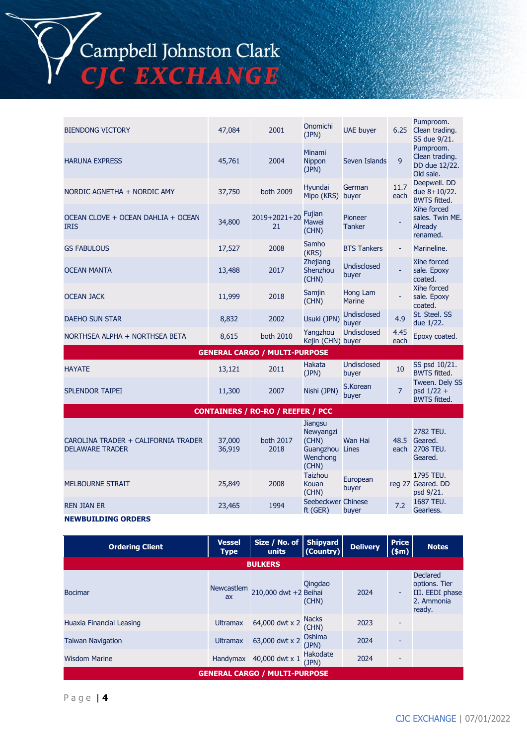

| <b>BIENDONG VICTORY</b>                           | 47,084 | 2001                                 | Onomichi<br>(JPN)                    | <b>UAE</b> buyer            | 6.25                     | Pumproom.<br>Clean trading.<br>SS due 9/21.               |
|---------------------------------------------------|--------|--------------------------------------|--------------------------------------|-----------------------------|--------------------------|-----------------------------------------------------------|
| <b>HARUNA EXPRESS</b>                             | 45,761 | 2004                                 | Minami<br><b>Nippon</b><br>(JPN)     | Seven Islands               | 9                        | Pumproom.<br>Clean trading.<br>DD due 12/22.<br>Old sale. |
| NORDIC AGNETHA + NORDIC AMY                       | 37,750 | both 2009                            | Hyundai<br>Mipo (KRS)                | German<br>buyer             | 11.7<br>each             | Deepwell. DD<br>due $8+10/22$ .<br><b>BWTS fitted.</b>    |
| OCEAN CLOVE + OCEAN DAHLIA + OCEAN<br><b>IRIS</b> | 34,800 | $2019 + 2021 + 20$<br>21             | Fujian<br>Mawei<br>(CHN)             | Pioneer<br><b>Tanker</b>    |                          | Xihe forced<br>sales. Twin ME.<br>Already<br>renamed.     |
| <b>GS FABULOUS</b>                                | 17,527 | 2008                                 | Samho<br>(KRS)                       | <b>BTS Tankers</b>          | $\overline{\phantom{a}}$ | Marineline.                                               |
| <b>OCEAN MANTA</b>                                | 13,488 | 2017                                 | <b>Zhejiang</b><br>Shenzhou<br>(CHN) | <b>Undisclosed</b><br>buyer |                          | Xihe forced<br>sale. Epoxy<br>coated.                     |
| <b>OCEAN JACK</b>                                 | 11,999 | 2018                                 | Samjin<br>(CHN)                      | Hong Lam<br><b>Marine</b>   |                          | Xihe forced<br>sale. Epoxy<br>coated.                     |
| <b>DAEHO SUN STAR</b>                             | 8,832  | 2002                                 | Usuki (JPN)                          | <b>Undisclosed</b><br>buyer | 4.9                      | St. Steel. SS<br>due 1/22.                                |
| NORTHSEA ALPHA + NORTHSEA BETA                    | 8,615  | both 2010                            | Yangzhou<br>Kejin (CHN) buyer        | Undisclosed                 | 4.45<br>each             | Epoxy coated.                                             |
|                                                   |        | <b>GENERAL CARGO / MULTI-PURPOSE</b> |                                      |                             |                          |                                                           |
|                                                   |        |                                      |                                      |                             |                          |                                                           |

| <b>HAYATE</b>   | 13,121 | 2011 | Hakata<br>(JPN) | Undisclosed<br>buver | SS psd 10/21.<br><b>BWTS fitted.</b>                  |
|-----------------|--------|------|-----------------|----------------------|-------------------------------------------------------|
| SPLENDOR TAIPEI | 11,300 | 2007 | Nishi (JPN)     | S.Korean<br>buver    | Tween. Dely SS<br>$psd$ 1/22 +<br><b>BWTS</b> fitted. |

**CONTAINERS / RO-RO / REEFER / PCC**

| CAROLINA TRADER + CALIFORNIA TRADER<br><b>DELAWARE TRADER</b> | 37,000<br>36,919 | both 2017<br>2018 | Jiangsu<br>Newyangzi<br>(CHN)<br>Guangzhou<br>Wenchong<br>(CHN) | Wan Hai<br>Lines  | 48.5<br>each | 2782 TEU.<br>Geared.<br>2708 TEU.<br>Geared. |
|---------------------------------------------------------------|------------------|-------------------|-----------------------------------------------------------------|-------------------|--------------|----------------------------------------------|
| <b>MELBOURNE STRAIT</b>                                       | 25,849           | 2008              | <b>Taizhou</b><br>Kouan<br>(CHN)                                | European<br>buyer |              | 1795 TEU.<br>reg 27 Geared. DD<br>psd 9/21.  |
| <b>REN JIAN ER</b>                                            | 23,465           | 1994              | Seebeckwer Chinese<br>ft (GER)                                  | buyer             | 7.2          | 1687 TEU.<br>Gearless.                       |

### **NEWBUILDING ORDERS**

| <b>Ordering Client</b>   | <b>Vessel</b><br><b>Type</b> | Size / No. of<br>units                         | <b>Shipyard</b><br>(Country) | <b>Delivery</b> | <b>Price</b><br>\$m\$ | <b>Notes</b>                                                                |
|--------------------------|------------------------------|------------------------------------------------|------------------------------|-----------------|-----------------------|-----------------------------------------------------------------------------|
|                          |                              | <b>BULKERS</b>                                 |                              |                 |                       |                                                                             |
| <b>Bocimar</b>           | Newcastlem<br>ax             | 210,000 dwt +2 Beihai                          | Qingdao<br>(CHN)             | 2024            | $\blacksquare$        | <b>Declared</b><br>options. Tier<br>III. EEDI phase<br>2. Ammonia<br>ready. |
| Huaxia Financial Leasing | <b>Ultramax</b>              | 64,000 dwt x 2 $\frac{\text{Nacks}}{\text{C}}$ | (CHN)                        | 2023            |                       |                                                                             |
| <b>Taiwan Navigation</b> | <b>Ultramax</b>              | 63,000 dwt x 2                                 | Oshima<br>(JPN)              | 2024            | ٠                     |                                                                             |
| <b>Wisdom Marine</b>     | Handymax                     | 40,000 dwt x 1                                 | Hakodate<br>(JPN)            | 2024            | ٠                     |                                                                             |
|                          |                              | <b>GENERAL CARGO / MULTI-PURPOSE</b>           |                              |                 |                       |                                                                             |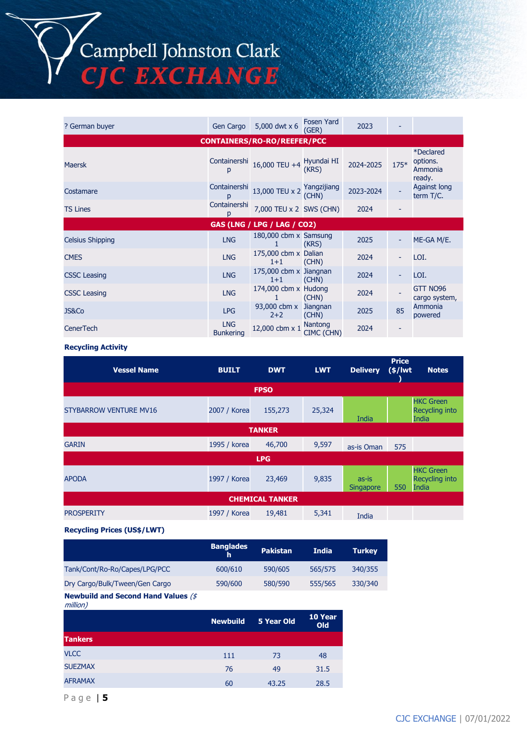Campbell Johnston Clark<br>CJC EXCHANGE

| ? German buyer          | Gen Cargo                      | 5,000 dwt x 6                                   | <b>Fosen Yard</b><br>(GER) | 2023      |        |                                                          |
|-------------------------|--------------------------------|-------------------------------------------------|----------------------------|-----------|--------|----------------------------------------------------------|
|                         |                                | <b>CONTAINERS/RO-RO/REEFER/PCC</b>              |                            |           |        |                                                          |
| <b>Maersk</b>           | Containershi<br>р              | 16,000 TEU +4 Hyundai HI                        |                            | 2024-2025 | $175*$ | <i><b>*Declared</b></i><br>options.<br>Ammonia<br>ready. |
| Costamare               | Containershi<br>p              | 13,000 TEU x 2 $\frac{\text{Yang}}{\text{Can}}$ | (CHN)                      | 2023-2024 |        | <b>Against long</b><br>term T/C.                         |
| <b>TS Lines</b>         | Containershi                   | 7,000 TEU x 2 SWS (CHN)                         |                            | 2024      |        |                                                          |
|                         |                                | <b>GAS (LNG / LPG / LAG / CO2)</b>              |                            |           |        |                                                          |
| <b>Celsius Shipping</b> | <b>LNG</b>                     | 180,000 cbm x Samsung                           | (KRS)                      | 2025      |        | ME-GA M/E.                                               |
| <b>CMES</b>             | <b>LNG</b>                     | 175,000 cbm x Dalian<br>$1+1$                   | (CHN)                      | 2024      |        | LOI.                                                     |
| <b>CSSC Leasing</b>     | <b>LNG</b>                     | 175,000 cbm x Jiangnan<br>$1+1$                 | (CHN)                      | 2024      |        | LOI.                                                     |
| <b>CSSC Leasing</b>     | <b>LNG</b>                     | 174,000 cbm x Hudong                            | (CHN)                      | 2024      |        | GTT NO96<br>cargo system,                                |
| JS&Co                   | <b>LPG</b>                     | 93,000 cbm x<br>$2+2$                           | Jiangnan<br>(CHN)          | 2025      | 85     | Ammonia<br>powered                                       |
| <b>CenerTech</b>        | <b>LNG</b><br><b>Bunkering</b> | 12,000 cbm x 1                                  | Nantong<br>CIMC (CHN)      | 2024      |        |                                                          |

#### **Recycling Activity**

| <b>Vessel Name</b>            | <b>BUILT</b> | <b>DWT</b>             | <b>LWT</b> | <b>Delivery</b>           | <b>Price</b><br>$(*)$ lwt | <b>Notes</b>                                              |  |
|-------------------------------|--------------|------------------------|------------|---------------------------|---------------------------|-----------------------------------------------------------|--|
|                               |              | <b>FPSO</b>            |            |                           |                           |                                                           |  |
| <b>STYBARROW VENTURE MV16</b> | 2007 / Korea | 155,273                | 25,324     | India                     |                           | <b>HKC Green</b><br><b>Recycling into</b><br><b>India</b> |  |
| <b>TANKER</b>                 |              |                        |            |                           |                           |                                                           |  |
| <b>GARIN</b>                  | 1995 / korea | 46,700                 | 9,597      | as-is Oman                | 575                       |                                                           |  |
|                               |              | <b>LPG</b>             |            |                           |                           |                                                           |  |
| <b>APODA</b>                  | 1997 / Korea | 23,469                 | 9,835      | as-is<br><b>Singapore</b> | 550                       | <b>HKC Green</b><br><b>Recycling into</b><br>India        |  |
|                               |              | <b>CHEMICAL TANKER</b> |            |                           |                           |                                                           |  |
| <b>PROSPERITY</b>             | 1997 / Korea | 19,481                 | 5,341      | India                     |                           |                                                           |  |

### **Recycling Prices (US\$/LWT)**

|                                | <b>Banglades</b> | <b>Pakistan</b> | <b>India</b> | <b>Turkey</b> |
|--------------------------------|------------------|-----------------|--------------|---------------|
| Tank/Cont/Ro-Ro/Capes/LPG/PCC  | 600/610          | 590/605         | 565/575      | 340/355       |
| Dry Cargo/Bulk/Tween/Gen Cargo | 590/600          | 580/590         | 555/565      | 330/340       |
|                                |                  |                 |              |               |

#### **Newbuild and Second Hand Values** (\$ million)

| . .            | <b>Newbuild</b> | 5 Year Old | 10 Year<br>Old |
|----------------|-----------------|------------|----------------|
| <b>Tankers</b> |                 |            |                |
| <b>VLCC</b>    | 111             | 73         | 48             |
| <b>SUEZMAX</b> | 76              | 49         | 31.5           |
| <b>AFRAMAX</b> | 60              | 43.25      | 28.5           |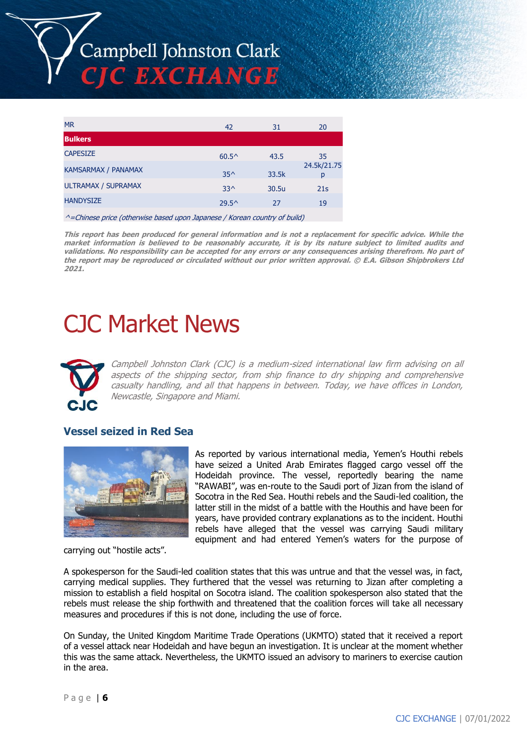

| <b>MR</b>                   | 42             | 31                                        | 20               |
|-----------------------------|----------------|-------------------------------------------|------------------|
| <b>Bulkers</b>              |                |                                           |                  |
| <b>CAPESIZE</b>             | $60.5^{\circ}$ | 43.5                                      | 35               |
| <b>KAMSARMAX / PANAMAX</b>  | $35^$          | 33.5k                                     | 24.5k/21.75<br>р |
| <b>ULTRAMAX / SUPRAMAX</b>  | $33^$          | 30.5u                                     | 21s              |
| <b>HANDYSIZE</b>            | $29.5^{\circ}$ | 27                                        | 19               |
| $\sim$ $\sim$ $\sim$ $\sim$ | .              | $\sim$ $\sim$ $\sim$ $\sim$ $\sim$ $\sim$ |                  |

^=Chinese price (otherwise based upon Japanese / Korean country of build)

**This report has been produced for general information and is not a replacement for specific advice. While the market information is believed to be reasonably accurate, it is by its nature subject to limited audits and validations. No responsibility can be accepted for any errors or any consequences arising therefrom. No part of the report may be reproduced or circulated without our prior written approval. © E.A. Gibson Shipbrokers Ltd 2021.**

# CJC Market News



Campbell Johnston Clark (CJC) is a medium-sized international law firm advising on all aspects of the shipping sector, from ship finance to dry shipping and comprehensive casualty handling, and all that happens in between. Today, we have offices in London, Newcastle, Singapore and Miami.

## **Vessel seized in Red Sea**



carrying out "hostile acts".

As reported by various international media, Yemen's Houthi rebels have seized a United Arab Emirates flagged cargo vessel off the Hodeidah province. The vessel, reportedly bearing the name "RAWABI", was en-route to the Saudi port of Jizan from the island of Socotra in the Red Sea. Houthi rebels and the Saudi-led coalition, the latter still in the midst of a battle with the Houthis and have been for years, have provided contrary explanations as to the incident. Houthi rebels have alleged that the vessel was carrying Saudi military equipment and had entered Yemen's waters for the purpose of

A spokesperson for the Saudi-led coalition states that this was untrue and that the vessel was, in fact, carrying medical supplies. They furthered that the vessel was returning to Jizan after completing a mission to establish a field hospital on Socotra island. The coalition spokesperson also stated that the rebels must release the ship forthwith and threatened that the coalition forces will take all necessary measures and procedures if this is not done, including the use of force.

On Sunday, the United Kingdom Maritime Trade Operations (UKMTO) stated that it received a report of a vessel attack near Hodeidah and have begun an investigation. It is unclear at the moment whether this was the same attack. Nevertheless, the UKMTO issued an advisory to mariners to exercise caution in the area.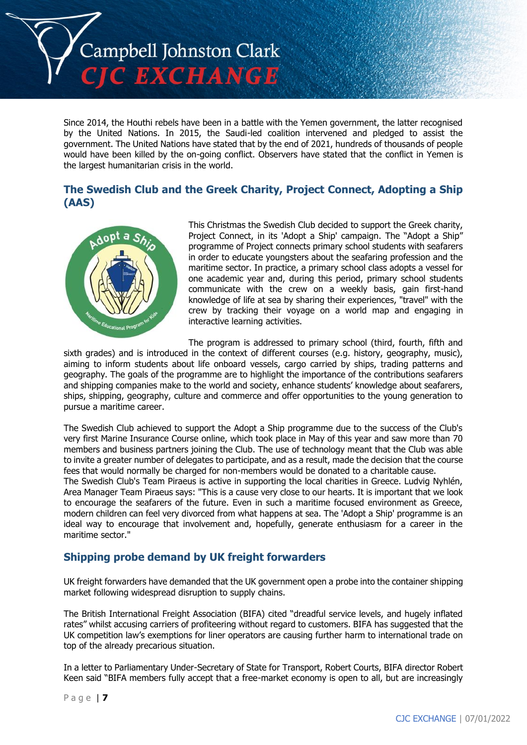

Since 2014, the Houthi rebels have been in a battle with the Yemen government, the latter recognised by the United Nations. In 2015, the Saudi-led coalition intervened and pledged to assist the government. The United Nations have stated that by the end of 2021, hundreds of thousands of people would have been killed by the on-going conflict. Observers have stated that the conflict in Yemen is the largest humanitarian crisis in the world.

## **The Swedish Club and the Greek Charity, Project Connect, Adopting a Ship (AAS)**



This Christmas the Swedish Club decided to support the Greek charity, Project Connect, in its 'Adopt a Ship' campaign. The "Adopt a Ship" programme of Project connects primary school students with seafarers in order to educate youngsters about the seafaring profession and the maritime sector. In practice, a primary school class adopts a vessel for one academic year and, during this period, primary school students communicate with the crew on a weekly basis, gain first-hand knowledge of life at sea by sharing their experiences, "travel" with the crew by tracking their voyage on a world map and engaging in interactive learning activities.

The program is addressed to primary school (third, fourth, fifth and sixth grades) and is introduced in the context of different courses (e.g. history, geography, music), aiming to inform students about life onboard vessels, cargo carried by ships, trading patterns and geography. The goals of the programme are to highlight the importance of the contributions seafarers and shipping companies make to the world and society, enhance students' knowledge about seafarers, ships, shipping, geography, culture and commerce and offer opportunities to the young generation to pursue a maritime career.

The Swedish Club achieved to support the Adopt a Ship programme due to the success of the Club's very first Marine Insurance Course online, which took place in May of this year and saw more than 70 members and business partners joining the Club. The use of technology meant that the Club was able to invite a greater number of delegates to participate, and as a result, made the decision that the course fees that would normally be charged for non-members would be donated to a charitable cause.

The Swedish Club's Team Piraeus is active in supporting the local charities in Greece. Ludvig Nyhlén, Area Manager Team Piraeus says: "This is a cause very close to our hearts. It is important that we look to encourage the seafarers of the future. Even in such a maritime focused environment as Greece, modern children can feel very divorced from what happens at sea. The 'Adopt a Ship' programme is an ideal way to encourage that involvement and, hopefully, generate enthusiasm for a career in the maritime sector."

## **Shipping probe demand by UK freight forwarders**

UK freight forwarders have demanded that the UK government open a probe into the container shipping market following widespread disruption to supply chains.

The British International Freight Association (BIFA) cited "dreadful service levels, and hugely inflated rates" whilst accusing carriers of profiteering without regard to customers. BIFA has suggested that the UK competition law's exemptions for liner operators are causing further harm to international trade on top of the already precarious situation.

In a letter to Parliamentary Under-Secretary of State for Transport, Robert Courts, BIFA director Robert Keen said "BIFA members fully accept that a free-market economy is open to all, but are increasingly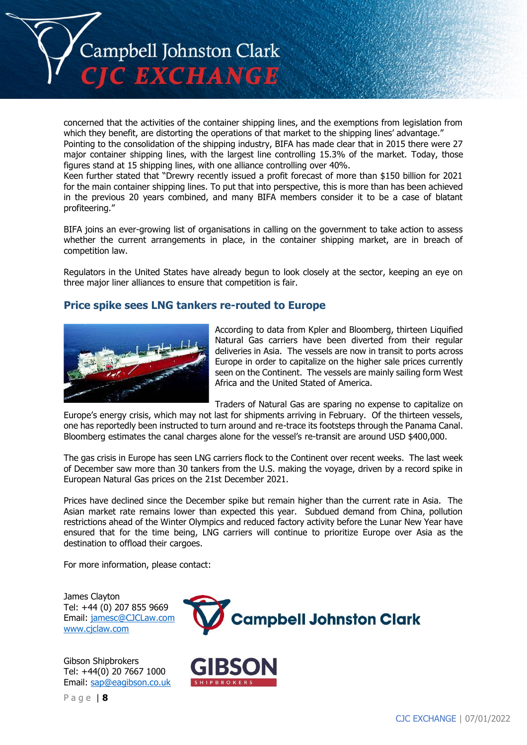

concerned that the activities of the container shipping lines, and the exemptions from legislation from which they benefit, are distorting the operations of that market to the shipping lines' advantage."

Pointing to the consolidation of the shipping industry, BIFA has made clear that in 2015 there were 27 major container shipping lines, with the largest line controlling 15.3% of the market. Today, those figures stand at 15 shipping lines, with one alliance controlling over 40%.

Keen further stated that "Drewry recently issued a profit forecast of more than \$150 billion for 2021 for the main container shipping lines. To put that into perspective, this is more than has been achieved in the previous 20 years combined, and many BIFA members consider it to be a case of blatant profiteering."

BIFA joins an ever-growing list of organisations in calling on the government to take action to assess whether the current arrangements in place, in the container shipping market, are in breach of competition law.

Regulators in the United States have already begun to look closely at the sector, keeping an eye on three major liner alliances to ensure that competition is fair.

## **Price spike sees LNG tankers re-routed to Europe**



According to data from Kpler and Bloomberg, thirteen Liquified Natural Gas carriers have been diverted from their regular deliveries in Asia. The vessels are now in transit to ports across Europe in order to capitalize on the higher sale prices currently seen on the Continent. The vessels are mainly sailing form West Africa and the United Stated of America.

Traders of Natural Gas are sparing no expense to capitalize on

Europe's energy crisis, which may not last for shipments arriving in February. Of the thirteen vessels, one has reportedly been instructed to turn around and re-trace its footsteps through the Panama Canal. Bloomberg estimates the canal charges alone for the vessel's re-transit are around USD \$400,000.

The gas crisis in Europe has seen LNG carriers flock to the Continent over recent weeks. The last week of December saw more than 30 tankers from the U.S. making the voyage, driven by a record spike in European Natural Gas prices on the 21st December 2021.

Prices have declined since the December spike but remain higher than the current rate in Asia. The Asian market rate remains lower than expected this year. Subdued demand from China, pollution restrictions ahead of the Winter Olympics and reduced factory activity before the Lunar New Year have ensured that for the time being, LNG carriers will continue to prioritize Europe over Asia as the destination to offload their cargoes.

For more information, please contact:

James Clayton Tel: +44 (0) 207 855 9669 Email: [jamesc@CJCLaw.com](mailto:jamesc@CJCLaw.com) [www.cjclaw.com](http://www.cjclaw.com/)

Gibson Shipbrokers Tel: +44(0) 20 7667 1000 Email: [sap@eagibson.co.uk](mailto:sap@eagibson.co.uk)

P a g e | **8**